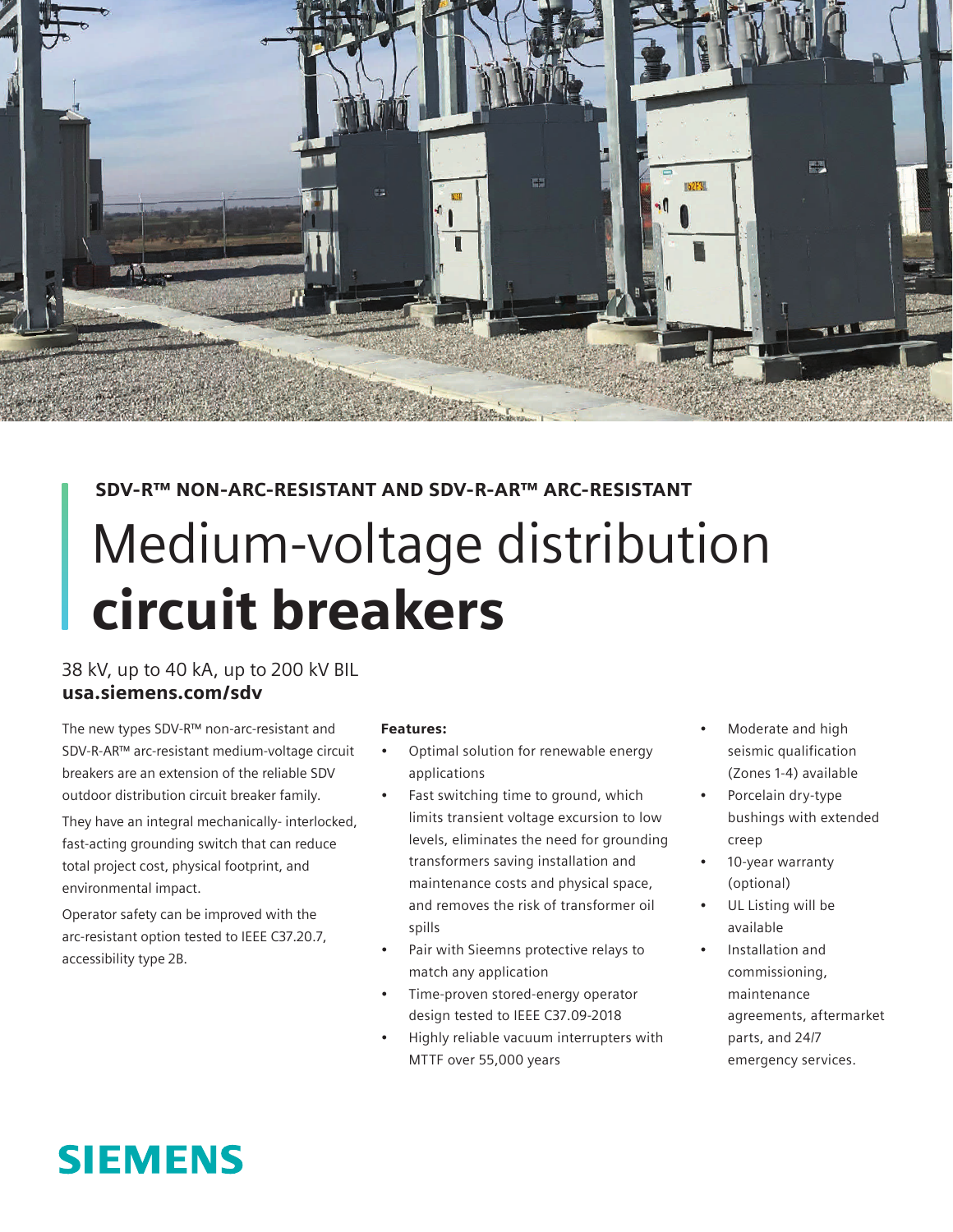

# SDV-R™ NON-ARC-RESISTANT AND SDV-R-AR™ ARC-RESISTANT Medium-voltage distribution circuit breakers

## 38 kV, up to 40 kA, up to 200 kV BIL usa.siemens.com/sdv

The new types SDV-R™ non-arc-resistant and SDV-R-AR™ arc-resistant medium-voltage circuit breakers are an extension of the reliable SDV outdoor distribution circuit breaker family.

They have an integral mechanically- interlocked, fast-acting grounding switch that can reduce total project cost, physical footprint, and environmental impact.

Operator safety can be improved with the arc-resistant option tested to IEEE C37.20.7, accessibility type 2B.

### Features:

- Optimal solution for renewable energy applications
- Fast switching time to ground, which limits transient voltage excursion to low levels, eliminates the need for grounding transformers saving installation and maintenance costs and physical space, and removes the risk of transformer oil spills
- Pair with Sieemns protective relays to match any application
- Time-proven stored-energy operator design tested to IEEE C37.09-2018
- Highly reliable vacuum interrupters with MTTF over 55,000 years
- Moderate and high seismic qualification (Zones 1-4) available
- Porcelain dry-type bushings with extended creep
- 10-year warranty (optional)
- UL Listing will be available
	- Installation and commissioning, maintenance agreements, aftermarket parts, and 24/7 emergency services.

## **SIEMENS**